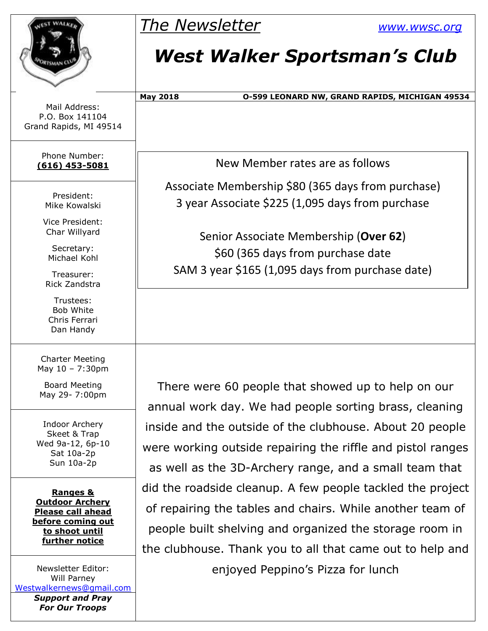|                                                                                                | <b>The Newsletter</b>                                       | <b>WWW.WWSC.Org</b>                            |
|------------------------------------------------------------------------------------------------|-------------------------------------------------------------|------------------------------------------------|
|                                                                                                | <b>West Walker Sportsman's Club</b>                         |                                                |
|                                                                                                | <b>May 2018</b>                                             | 0-599 LEONARD NW, GRAND RAPIDS, MICHIGAN 49534 |
| Mail Address:<br>P.O. Box 141104<br>Grand Rapids, MI 49514                                     |                                                             |                                                |
| Phone Number:<br>$(616)$ 453-5081                                                              | New Member rates are as follows                             |                                                |
|                                                                                                | Associate Membership \$80 (365 days from purchase)          |                                                |
| President:<br>Mike Kowalski                                                                    | 3 year Associate \$225 (1,095 days from purchase            |                                                |
| Vice President:                                                                                |                                                             |                                                |
| Char Willyard                                                                                  | Senior Associate Membership (Over 62)                       |                                                |
| Secretary:<br>Michael Kohl                                                                     | \$60 (365 days from purchase date                           |                                                |
| Treasurer:<br>Rick Zandstra                                                                    | SAM 3 year \$165 (1,095 days from purchase date)            |                                                |
| Trustees:<br>Bob White<br>Chris Ferrari<br>Dan Handy                                           |                                                             |                                                |
| <b>Charter Meeting</b><br>May 10 - 7:30pm                                                      |                                                             |                                                |
| <b>Board Meeting</b><br>May 29- 7:00pm                                                         | There were 60 people that showed up to help on our          |                                                |
|                                                                                                | annual work day. We had people sorting brass, cleaning      |                                                |
| Indoor Archery                                                                                 | inside and the outside of the clubhouse. About 20 people    |                                                |
| Skeet & Trap<br>Wed 9a-12, 6p-10                                                               | were working outside repairing the riffle and pistol ranges |                                                |
| Sat 10a-2p<br>Sun 10a-2p                                                                       | as well as the 3D-Archery range, and a small team that      |                                                |
|                                                                                                | did the roadside cleanup. A few people tackled the project  |                                                |
| <b>Ranges &amp;</b><br><b>Outdoor Archery</b><br><b>Please call ahead</b><br>before coming out | of repairing the tables and chairs. While another team of   |                                                |
|                                                                                                |                                                             |                                                |
| to shoot until<br>further notice                                                               | people built shelving and organized the storage room in     |                                                |
|                                                                                                | the clubhouse. Thank you to all that came out to help and   |                                                |
| Newsletter Editor:<br>Will Parney<br>Westwalkernews@gmail.com                                  | enjoyed Peppino's Pizza for lunch                           |                                                |

*Support and Pray For Our Troops*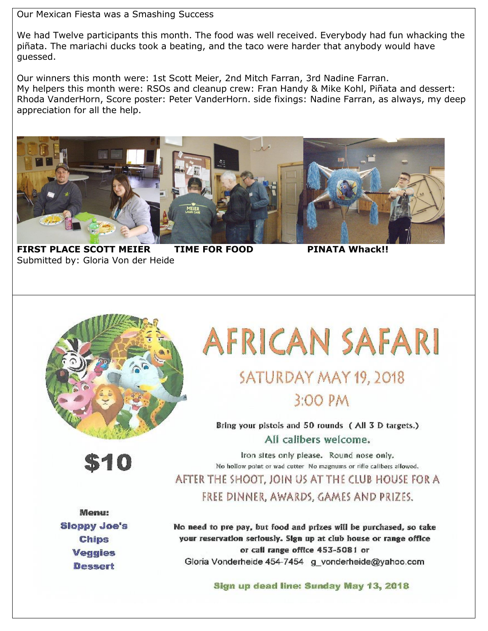Our Mexican Fiesta was a Smashing Success

We had Twelve participants this month. The food was well received. Everybody had fun whacking the piñata. The mariachi ducks took a beating, and the taco were harder that anybody would have guessed.

Our winners this month were: 1st Scott Meier, 2nd Mitch Farran, 3rd Nadine Farran. My helpers this month were: RSOs and cleanup crew: Fran Handy & Mike Kohl, Piñata and dessert: Rhoda VanderHorn, Score poster: Peter VanderHorn. side fixings: Nadine Farran, as always, my deep appreciation for all the help.



**FIRST PLACE SCOTT MEIER TIME FOR FOOD PINATA Whack!!** Submitted by: Gloria Von der Heide



\$10

# **AFRICAN SAFARI** SATURDAY MAY 19, 2018

3:00 PM

Bring your pistols and 50 rounds (All 3 D targets.) All calibers welcome.

Iron sites only please. Round nose only. No hollow point or wad cutter. No magnums or rifle calibers allowed.

AFTER THE SHOOT. JOIN US AT THE CLUB HOUSE FOR A FREE DINNER, AWARDS, GAMES AND PRIZES.

**Menu: Sloppy Joe's Chips Veggies Dessert** 

No need to pre pay, but food and prizes will be purchased, so take your reservation seriously. Sign up at club house or range office or call range office 453-5081 or Gloria Vonderheide 454-7454 g vonderheide@yahoo.com

Sign up dead line: Sunday May 13, 2018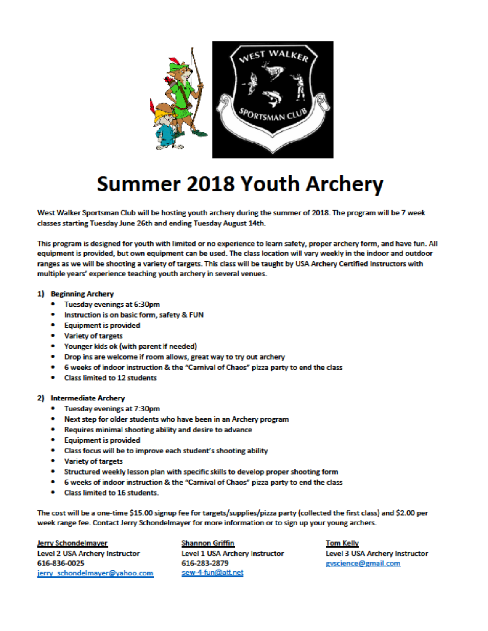

## **Summer 2018 Youth Archery**

West Walker Sportsman Club will be hosting youth archery during the summer of 2018. The program will be 7 week classes starting Tuesday June 26th and ending Tuesday August 14th.

This program is designed for youth with limited or no experience to learn safety, proper archery form, and have fun. All equipment is provided, but own equipment can be used. The class location will vary weekly in the indoor and outdoor ranges as we will be shooting a variety of targets. This class will be taught by USA Archery Certified Instructors with multiple years' experience teaching youth archery in several venues.

#### 1) Beginning Archery

- Tuesday evenings at 6:30pm
- Instruction is on basic form, safety & FUN  $\bullet$
- Equipment is provided
- Variety of targets
- Younger kids ok (with parent if needed)
- Drop ins are welcome if room allows, great way to try out archery
- 6 weeks of indoor instruction & the "Carnival of Chaos" pizza party to end the class
- **Class limited to 12 students**

#### 2) Intermediate Archery

- Tuesday evenings at 7:30pm
- . Next step for older students who have been in an Archery program
- Requires minimal shooting ability and desire to advance
- **Equipment is provided**
- Class focus will be to improve each student's shooting ability
- Variety of targets
- Structured weekly lesson plan with specific skills to develop proper shooting form
- 6 weeks of indoor instruction & the "Carnival of Chaos" pizza party to end the class
- **Class limited to 16 students.**

The cost will be a one-time \$15.00 signup fee for targets/supplies/pizza party (collected the first class) and \$2.00 per week range fee. Contact Jerry Schondelmayer for more information or to sign up your young archers.

**Jerry Schondelmayer Level 2 USA Archery Instructor** 616-836-0025 jerry schondelmayer@yahoo.com

**Shannon Griffin Level 1 USA Archery Instructor** 616-283-2879 sew-4-fun@att.net

**Tom Kelly Level 3 USA Archery Instructor** gyscience@gmail.com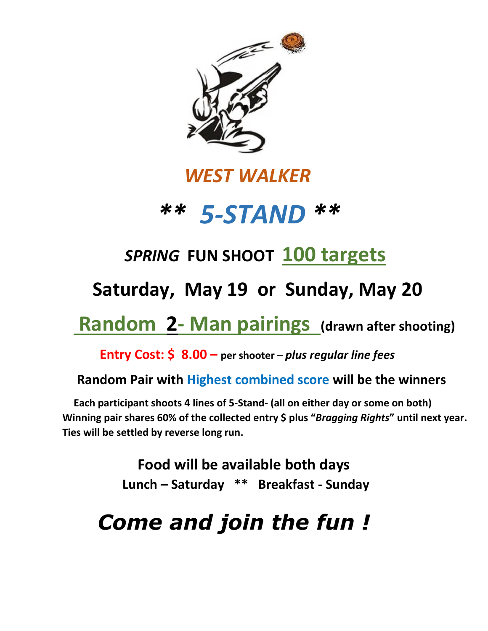

#### *WEST WALKER*



### *SPRING* **FUN SHOOT 100 targets**

 **Saturday, May 19 or Sunday, May 20** 

### **Random 2- Man pairings (drawn after shooting)**

 **Entry Cost: \$ 8.00 – per shooter –** *plus regular line fees*

#### **Random Pair with Highest combined score will be the winners**

 **Each participant shoots 4 lines of 5-Stand- (all on either day or some on both) Winning pair shares 60% of the collected entry \$ plus "***Bragging Rights***" until next year. Ties will be settled by reverse long run.**

> **Food will be available both days Lunch – Saturday \*\* Breakfast - Sunday**

# *Come and join the fun !*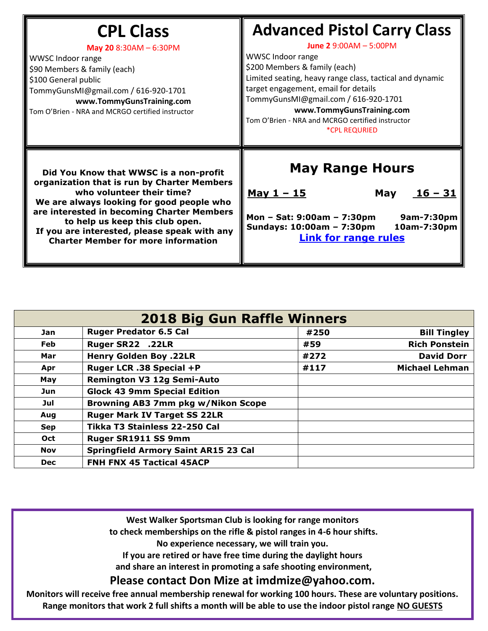| <b>CPL Class</b><br>May 20 8:30AM - 6:30PM<br>WWSC Indoor range<br>\$90 Members & family (each)<br>\$100 General public<br>TommyGunsMI@gmail.com / 616-920-1701<br>www.TommyGunsTraining.com<br>Tom O'Brien - NRA and MCRGO certified instructor                                                                                               | <b>Advanced Pistol Carry Class</b><br>June 2 9:00AM - 5:00PM<br>WWSC Indoor range<br>\$200 Members & family (each)<br>Limited seating, heavy range class, tactical and dynamic<br>target engagement, email for details<br>TommyGunsMI@gmail.com / 616-920-1701<br>www.TommyGunsTraining.com<br>Tom O'Brien - NRA and MCRGO certified instructor<br><i><b>*CPL REQURIED</b></i> |  |  |
|------------------------------------------------------------------------------------------------------------------------------------------------------------------------------------------------------------------------------------------------------------------------------------------------------------------------------------------------|--------------------------------------------------------------------------------------------------------------------------------------------------------------------------------------------------------------------------------------------------------------------------------------------------------------------------------------------------------------------------------|--|--|
| Did You Know that WWSC is a non-profit<br>organization that is run by Charter Members<br>who volunteer their time?<br>We are always looking for good people who<br>are interested in becoming Charter Members<br>to help us keep this club open.<br>If you are interested, please speak with any<br><b>Charter Member for more information</b> | <b>May Range Hours</b><br><u><math>16 - 31</math></u><br><u>May 1 - 15</u><br>May<br>Mon - Sat: 9:00am - 7:30pm<br>9am-7:30pm<br>Sundays: 10:00am - 7:30pm<br>10am-7:30pm<br><b>Link for range rules</b>                                                                                                                                                                       |  |  |

| <b>2018 Big Gun Raffle Winners</b> |                                             |      |                       |  |  |  |
|------------------------------------|---------------------------------------------|------|-----------------------|--|--|--|
| Jan                                | <b>Ruger Predator 6.5 Cal</b>               | #250 | <b>Bill Tingley</b>   |  |  |  |
| Feb                                | Ruger SR22 .22LR                            | #59  | <b>Rich Ponstein</b>  |  |  |  |
| Mar                                | <b>Henry Golden Boy .22LR</b>               | #272 | <b>David Dorr</b>     |  |  |  |
| Apr                                | Ruger LCR .38 Special +P                    | #117 | <b>Michael Lehman</b> |  |  |  |
| May                                | <b>Remington V3 12g Semi-Auto</b>           |      |                       |  |  |  |
| Jun                                | <b>Glock 43 9mm Special Edition</b>         |      |                       |  |  |  |
| Jul                                | Browning AB3 7mm pkg w/Nikon Scope          |      |                       |  |  |  |
| Aug                                | <b>Ruger Mark IV Target SS 22LR</b>         |      |                       |  |  |  |
| <b>Sep</b>                         | Tikka T3 Stainless 22-250 Cal               |      |                       |  |  |  |
| <b>Oct</b>                         | Ruger SR1911 SS 9mm                         |      |                       |  |  |  |
| <b>Nov</b>                         | <b>Springfield Armory Saint AR15 23 Cal</b> |      |                       |  |  |  |
| <b>Dec</b>                         | <b>FNH FNX 45 Tactical 45ACP</b>            |      |                       |  |  |  |

**West Walker Sportsman Club is looking for range monitors to check memberships on the rifle & pistol ranges in 4-6 hour shifts. No experience necessary, we will train you.** 

**If you are retired or have free time during the daylight hours**

**and share an interest in promoting a safe shooting environment,**

**Please contact Don Mize at imdmize@yahoo.com.**

**Monitors will receive free annual membership renewal for working 100 hours. These are voluntary positions. Range monitors that work 2 full shifts a month will be able to use the indoor pistol range NO GUESTS**